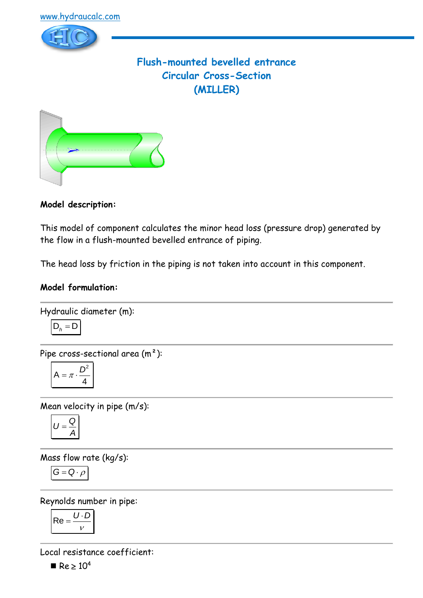

# **Flush-mounted bevelled entrance Circular Cross-Section (MILLER)**



**Model description:**

This model of component calculates the minor head loss (pressure drop) generated by the flow in a flush-mounted bevelled entrance of piping.

The head loss by friction in the piping is not taken into account in this component.

## **Model formulation:**

Hydraulic diameter (m):  

$$
D_h = D
$$

Pipe cross-sectional area  $(m<sup>2</sup>)$ :

$$
A = \pi \cdot \frac{D^2}{4}
$$

Mean velocity in pipe (m/s):

$$
U=\frac{Q}{A}
$$

Mass flow rate (kg/s):

$$
\overline{G=Q\cdot\rho}
$$

Reynolds number in pipe:

$$
Re = \frac{U \cdot D}{V}
$$

Local resistance coefficient:

 $Re > 10^4$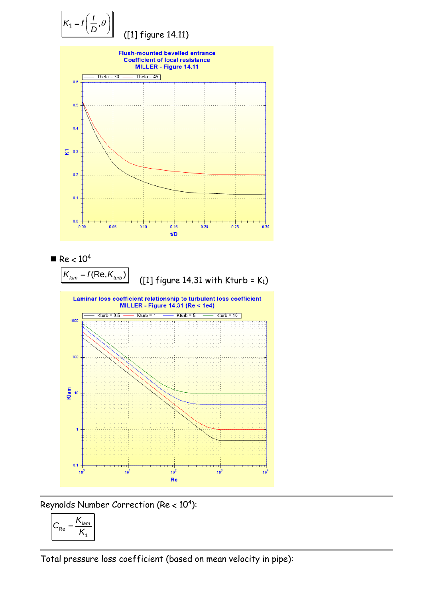

Reynolds Number Correction (Re <  $10^4$ ):

$$
C_{\text{Re}} = \frac{K_{\text{lam}}}{K_{\text{I}}}
$$

Total pressure loss coefficient (based on mean velocity in pipe):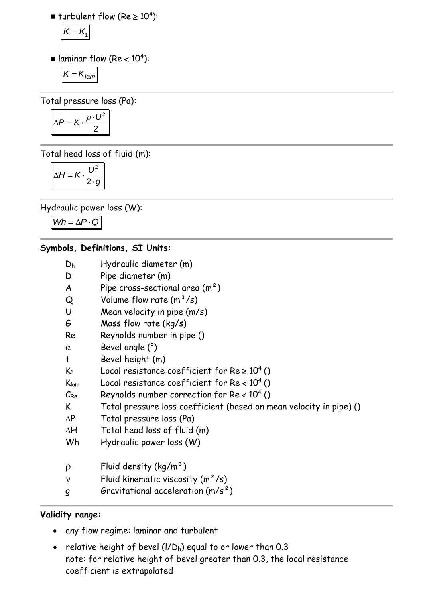$\blacksquare$  turbulent flow (Re  $\geq 10^4$ ):

$$
K=K_{1}
$$

 $\blacksquare$  laminar flow (Re < 10<sup>4</sup>):

$$
K=K_{lam}
$$

Total pressure loss (Pa):

$$
\Delta P = K \cdot \frac{\rho \cdot U^2}{2}
$$

Total head loss of fluid (m):

$$
\Delta H = K \cdot \frac{U^2}{2 \cdot g}
$$

Hydraulic power loss (W):

 $Wh = \Delta P \cdot Q$ 

### **Symbols, Definitions, SI Units:**

- D<sup>h</sup> Hydraulic diameter (m)
- D Pipe diameter (m)
- A Pipe cross-sectional area  $(m<sup>2</sup>)$
- $\Omega$  Volume flow rate  $(m^3/s)$
- U Mean velocity in pipe (m/s)
- G Mass flow rate (kg/s)
- Re Reynolds number in pipe ()
- $\alpha$  Bevel angle  $(°)$
- t Bevel height (m)
- K<sub>1</sub> Local resistance coefficient for Re  $\geq 10^4$  ()
- $K_{lam}$  Local resistance coefficient for  $Re < 10^4$  ()
- $\mathcal{C}_{\mathsf{Re}}$  Reynolds number correction for Re < 10<sup>4</sup> ()
- K Total pressure loss coefficient (based on mean velocity in pipe) ()
- $AP$  Total pressure loss (Pa)
- $\Delta H$  Total head loss of fluid (m)
- Wh Hydraulic power loss (W)
- $\rho$  Fluid density (kg/m<sup>3</sup>)
- $v$  Fluid kinematic viscosity  $(m^2/s)$
- g Gravitational acceleration (m/s²)

### **Validity range:**

- any flow regime: laminar and turbulent
- relative height of bevel  $(I/D_h)$  equal to or lower than 0.3 note: for relative height of bevel greater than 0.3, the local resistance coefficient is extrapolated